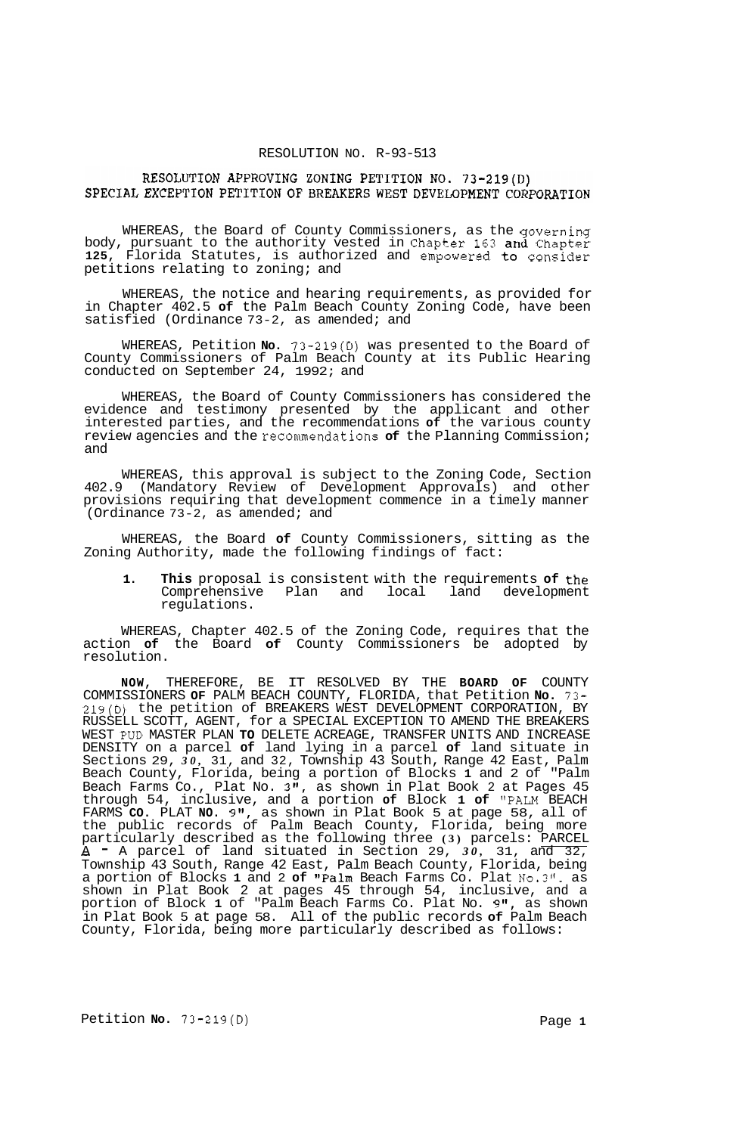### RESOLUTION NO. R-93-513

# RESOLUTION APPROVING ZONING PETITION NO. 73-219(D) SPECIAL EXCEPTION PETITION OF BREAKERS WEST DEVELOPMENT CORPORATION

WHEREAS, the Board of County Commissioners, as the governing body, pursuant to the authority vested in Chapter **163** and Chapter **125,** Florida Statutes, is authorized and empowered to consider petitions relating to zoning; and

WHEREAS, the notice and hearing requirements, as provided for in Chapter 402.5 **of** the Palm Beach County Zoning Code, have been satisfied (Ordinance 73-2, as amended; and

WHEREAS, Petition **No.** 73-219(D) was presented to the Board of County Commissioners of Palm Beach County at its Public Hearing conducted on September 24, 1992; and

WHEREAS, the Board of County Commissioners has considered the evidence and testimony presented by the applicant and other interested parties, and the recommendations **of** the various county review agencies and the recommendations **of** the Planning Commission; and

WHEREAS, this approval is subject to the Zoning Code, Section 402.9 (Mandatory Review of Development Approvals) and other provisions requiring that development commence in a timely manner (Ordinance 73-2, as amended; and

WHEREAS, the Board **of** County Commissioners, sitting as the Zoning Authority, made the following findings of fact:

**1. This** proposal is consistent with the requirements **of** the Comprehensive Plan regulations.

WHEREAS, Chapter 402.5 of the Zoning Code, requires that the action **of** the Board **of** County Commissioners be adopted by resolution.

**NOW,** THEREFORE, BE IT RESOLVED BY THE **BOARD OF** COUNTY COMMISSIONERS **OF** PALM BEACH COUNTY, FLORIDA, that Petition **No.** 73- **219(D)** the petition of BREAKERS WEST DEVELOPMENT CORPORATION, BY RUSSELL SCOTT, AGENT, for a SPECIAL EXCEPTION TO AMEND THE BREAKERS WEST PUD MASTER PLAN **TO** DELETE ACREAGE, TRANSFER UNITS AND INCREASE DENSITY on a parcel **of** land lying in a parcel **of** land situate in Sections 29, *30,* 31, and 32, Township 43 South, Range 42 East, Palm Beach County, Florida, being a portion of Blocks **1** and 2 of "Palm Beach Farms Co., Plat No. 3", as shown in Plat Book 2 at Pages 45 through 54, inclusive, and a portion **of** Block **1 of** "PALM BEACH FARMS **CO.** PLAT **NO. 9",** as shown in Plat Book 5 at page 58, all of the public records of Palm Beach County, Florida, being more particularly described as the following three **(3)** parcels: PARCEL  $\bar{A}$  - A parcel of land situated in Section 29,  $3\bar{\theta}$ , 31, and 32, Township 43 South, Range 42 East, Palm Beach County, Florida, being a portion of Blocks 1 and 2 **of "Palm** Beach Farms Co. Plat  $No.3"$ . as shown in Plat Book 2 at pages 45 through 54, inclusive, and a portion of Block 1 of "Palm Beach Farms Co. Plat No. 9", as shown in Plat Book 5 at page 58. All of the public records **of** Palm Beach County, Florida, being more particularly described as follows:

Petition **No.** 73-219(D) Page **1**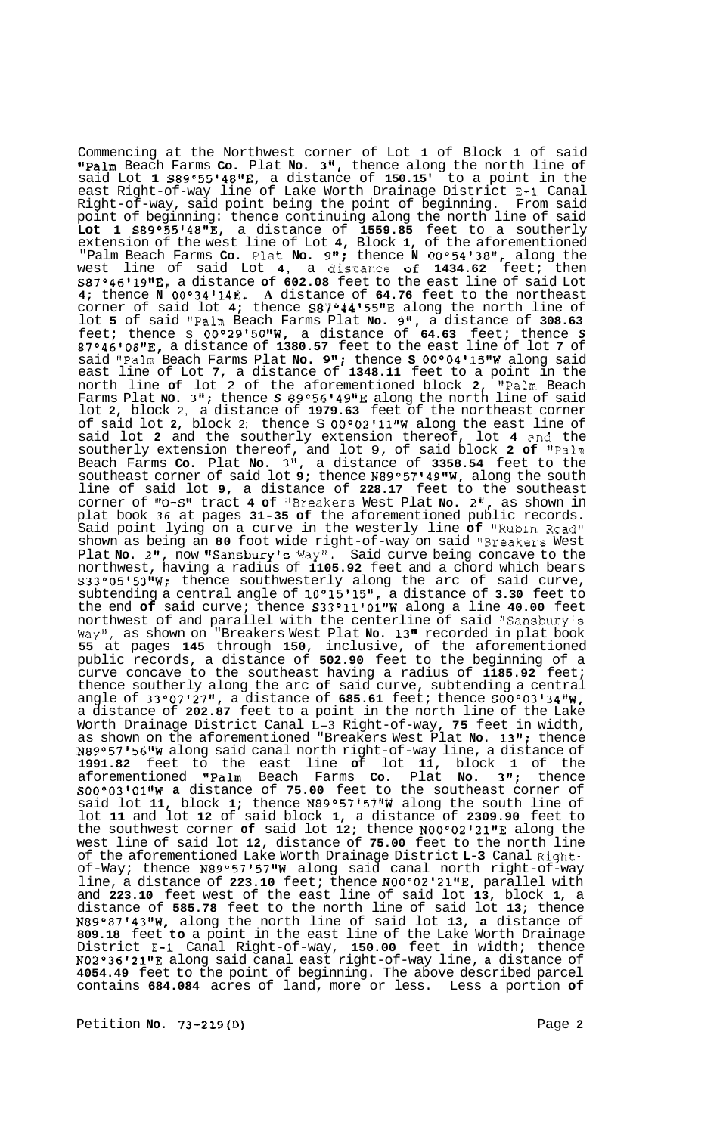Commencing at the Northwest corner of Lot **1** of Block **1** of said "Palm Beach Farms **Co.** Plat **No. 3",** thence along the north line of said Lot **1 S89°5514811E,** a distance of **150.15'** to a point in the east Right-of-way line of Lake Worth Drainage District **E-1** Canal Right-of-way, said point being the point of beginning. From said point of beginning: thence continuing along the north line of said **Lot 1 S89°551481tE,** a distance of **1559.85** feet to a southerly extension of the west line of Lot 4, Block 1, of the aforementioned "Palm Beach Farms Co. Plat No. 9"; thence N 00°54'38", along the west line of said Lot 4, a discance **of 1434.62** feet; then **S87°468191tE,** a distance **of 602.08** feet to the east line of said Lot **4;** thence **N 0O034I14E. A** distance of **64.76** feet to the northeast corner of said lot **4;** thence **S87O44 155f1E** along the north line of lot **5** of said "Palm Beach Farms Plat **No. 9(I,** a distance of **308.63**  feet; thence S **00°29150t1W,** a distance of **64.63** feet; thence *S*  **87°461081rE,** a distance of **1380.57** feet to the east line of lot **7** of said "Palm Beach Farms Plat **No. 9";** thence **S 00°04115g1W** along said east line of Lot **7,** a distance of **1348.11** feet to a point in the north line **of** lot 2 of the aforementioned block **2,** "Palm Beach Farms Plat **NO. 3";** thence *S* **89°56'49\*1E** along the north line of said lot **2,** block 2, a distance of **1979.63** feet of the northeast corner of said lot **2,** block 2; thence S **0Oo02'11"W** along the east line of said lot **2** and the southerly extension thereof, lot **4** 2nd the southerly extension thereof, and lot 9, of said block **2 of** "Palm Beach Farms **Co.** Plat **No. 311,** a distance of **3358.54** feet to the southeast corner of said lot 9; thence N89°57'49"W, along the south line of said lot **9,** a distance of **228.17** feet to the southeast corner of **flO-S1l** tract **4 of** '\$Breakers West Plat **No. 2",** as shown in plat book *36* at pages **31-35 of** the aforementioned public records. Said point lying on a curve in the westerly line **of** "Rubin Road" shown as being an **80** foot wide right-of-way on said 'IBreakers West Plat No. 2", now "Sansbury's Way". Said curve being concave to the northwest, having a radius of **1105.92** feet and a chord which bears **S33°05t531tW;** thence southwesterly along the arc of said curve, subtending a central angle of **10°1511511,** a distance of **3.30** feet to the end **of** said curve; thence **S33°11101"W** along a line **40.00** feet northwest of and parallel with the centerline of said "Sansbury's Wayvt, as shown on "Breakers West Plat **No. 13"** recorded in plat book **55** at pages **145** through **150,** inclusive, of the aforementioned public records, a distance of **502.90** feet to the beginning of a curve concave to the southeast having a radius of **1185.92** feet; thence southerly along the arc **of** said curve, subtending a central angle of **33°07'27"**, a distance of **685.61** feet; thence **S00°03'34"W**, a distance of **202.87** feet to a point in the north line of the Lake Worth Drainage District Canal L-3 Right-of-way, **75** feet in width, as shown on the aforementioned "Breakers West Plat **No. 13";** thence N89°57'56"W along said canal north right-of-way line, a distance of **1991.82** feet to the east line **of** lot **11,** block **1** of the aforementioned IIPalm Beach Farms **Co.** Plat **No. 3";** thence **S00°031011gW a** distance of **75.00** feet to the southeast corner of said lot **11,** block **1;** thence **N89°57t5711W** along the south line of lot **11** and lot **12** of said block **1,** a distance of **2309.90** feet to the southwest corner of said lot 12; thence N00°02'21"E along the west line of said lot **12,** distance of **75.00** feet to the north line of the aforementioned Lake Worth Drainage District **L-3** Canal Rightof-Way; thence **N89°57'571tW** along said canal north right-of-way line, a distance of **223.10** feet; thence **N00°02'21nE,** parallel with and **223.10** feet west of the east line of said lot **13,** block **1,** a distance of **585.78** feet to the north line of said lot **13;** thence **N89°87t431gW,** along the north line of said lot **13, a** distance of **809.18** feet **to** a point in the east line of the Lake Worth Drainage District **E-1** Canal Right-of-way, **150.00** feet in width; thence **N02°36'211\*E** along said canal east right-of-way line, **a** distance of **4054.49** feet to the point of beginning. The above described parcel contains **684.084** acres of land, more or less. Less a portion **of** 

Petition **No. 73-219(D)** Page **2**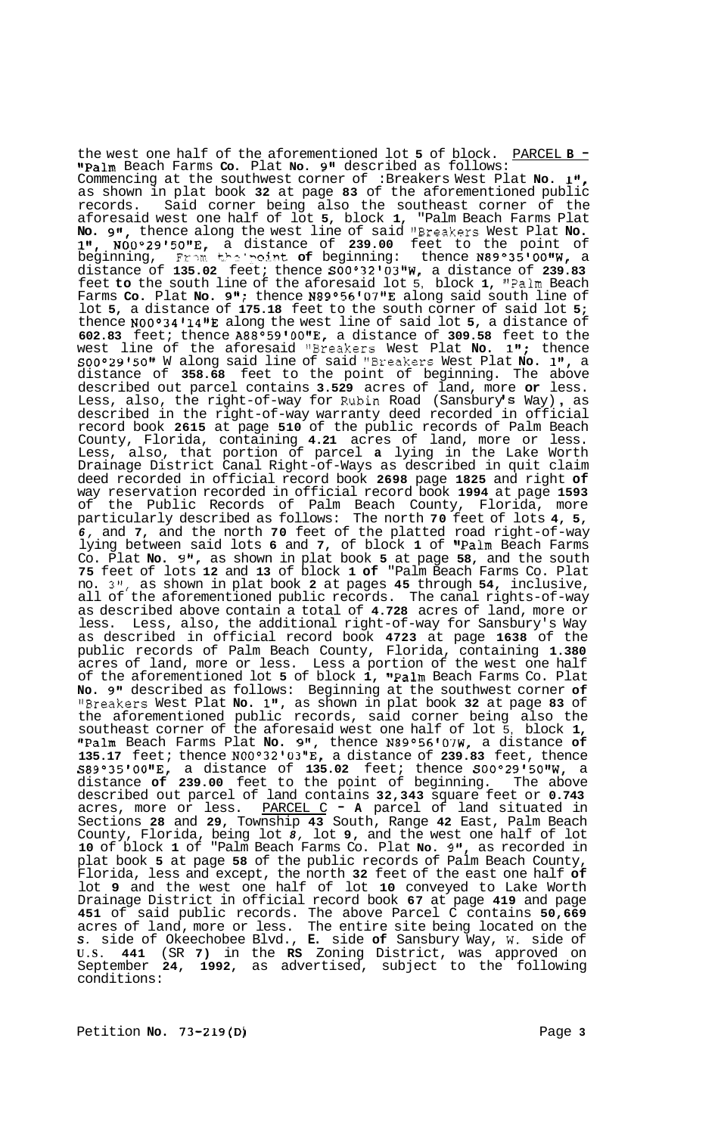the west one half of the aforementioned lot **5** of block. PARCEL **B** - "Palm Beach Farms Co. Plat No. 9" described as follows: Commencing at the southwest corner of :Breakers West Plat No. 1" as shown in plat book **32** at page **83** of the aforementioned public records. Said corner being also the southeast corner of the aforesaid west one half of lot **5,** block **1,** "Palm Beach Farms Plat **No. gft,** thence along the west line of said "Breakers West Plat **No.**  ltt, **N00°29t5011E,** a distance of **239.00** feet to the point of beginning, Frm **th?** '"\~!r7t **of** beginning: thence **N89°35t00tfW,** <sup>a</sup> distance of **135.02** feet; thence **S00°32'03B1W,** a distance of **239.83**  feet **to** the south line of the aforesaid lot 5, block **1,** '\*Palm Beach Farms Co. Plat No. 9"; thence N89°56'07"E along said south line of lot **5,** a distance of **175.18** feet to the south corner of said lot **5;**  thence N00°34'14"E along the west line of said lot 5, a distance of **602.83** feet; thence **A88°59t00tfE,** a distance of **309.58** feet to the west line of the aforesaid "Breakers West Plat **No. 1";** thence **S00°29150vr** W along said line of said "Breakers West Plat **No. l",** a distance of **358.68** feet to the point of beginning. The above described out parcel contains **3.529** acres of land, more **or** less. described out parcel contains 3.529 acres of land, more **or** less.<br>Less, also, the right-of-way for Rubin Road (Sansbury'**s** Way), as described in the right-of-way warranty deed recorded in official record book **2615** at page **510** of the public records of Palm Beach County, Florida, containing **4.21** acres of land, more or less. Less, also, that portion of parcel **a** lying in the Lake Worth Drainage District Canal Right-of-Ways as described in quit claim deed recorded in official record book **2698** page **1825** and right **of**  way reservation recorded in official record book **1994** at page **1593**  of the Public Records of Palm Beach County, Florida, more particularly described as follows: The north **70** feet of lots **4, 5,**  *6,* and **7,** and the north **70** feet of the platted road right-of-way lying between said lots 6 and 7, of block 1 of "Palm Beach Farms Co. Plat **No. 9",** as shown in plat book **5** at page **58,** and the south **75** feet of lots **12** and **13** of block **1 of** "Palm Beach Farms Co. Plat no. **3",** as shown in plat book **2** at pages **45** through **54,** inclusive, all of the aforementioned public records. The canal rights-of-way as described above contain a total of **4.728** acres of land, more or less. Less, also, the additional right-of-way for Sansbury's Way as described in official record book **4723** at page **1638** of the public records of Palm Beach County, Florida, containing **1.380**  acres of land, more or less. Less a portion of the west one half of the aforementioned lot 5 of block 1, "Palm Beach Farms Co. Plat **No. 9''** described as follows: Beginning at the southwest corner **of**  IIBreakers West Plat **No. 1",** as shown in plat book **32** at page **83** of the aforementioned public records, said corner being also the southeast corner of the aforesaid west one half of lot 5, block **1,**  IIPalm Beach Farms Plat **No. 9",** thence **N89O56'07W,** a distance **of 135.17** feet; thence **N00°3210311E,** a distance of **239.83** feet, thence **S89°35r00v8E,** a distance of **135.02** feet; thence **S00°29t508rW,** a distance **of 239.00** feet to the point of beginning. The above described out parcel of land contains **32,343** square feet or **0.743**  acres, more or less. PARCEL C - **A** parcel of land situated in Sections **28** and **29,** Township **43** South, Range **42** East, Palm Beach County, Florida, being lot *8,* lot **9,** and the west one half of lot **10** of block **1** of "Palm Beach Farms Co. Plat **No. gff,** as recorded in plat book **5** at page **58** of the public records of Palm Beach County, Florida, less and except, the north **32** feet of the east one half **of**  lot **9** and the west one half of lot **10** conveyed to Lake Worth Drainage District in official record book **67** at page **419** and page **451** of said public records. The above Parcel C contains **50,669**  acres of land, more or less. The entire site being located on the *S.* side of Okeechobee Blvd., **E.** side **of** Sansbury Way, W. side of **U.S. 441** (SR **7)** in the **RS** Zoning District, was approved on September **24, 1992,** as advertised, subject to the following conditions: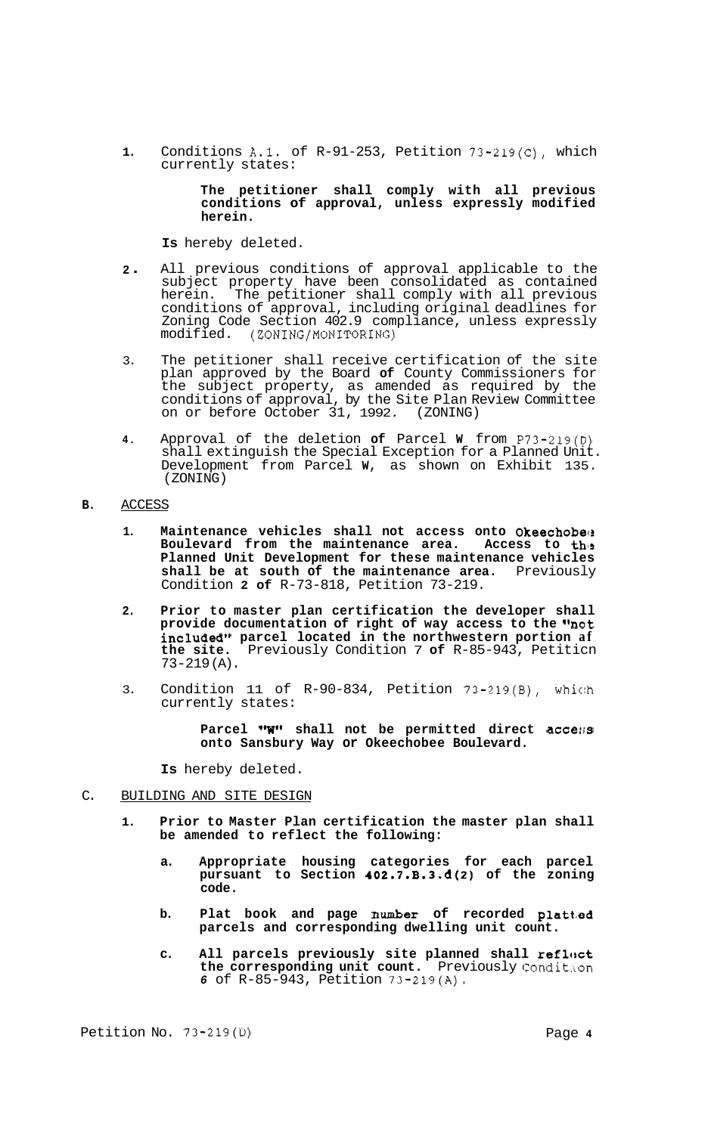**1.** Conditions A.1. of R-91-253, Petition 73-219(C), which currently states:

### **The petitioner shall comply with all previous conditions of approval, unless expressly modified herein.**

**Is** hereby deleted.

- **<sup>2</sup>**. All previous conditions of approval applicable to the subject property have been consolidated as contained herein. The petitioner shall comply with all previous conditions of approval, including original deadlines for Zoning Code Section 402.9 compliance, unless expressly modified. (ZONING/MONITORING)
- 3. The petitioner shall receive certification of the site plan approved by the Board **of** County Commissioners for the subject property, as amended as required by the conditions of approval, by the Site Plan Review Committee on or before October 31, 1992. (ZONING)
- **4.** Approval of the deletion **of** Parcel **W** from P73-219(D) shall extinguish the Special Exception for a Planned Unit. Development from Parcel **W,** as shown on Exhibit 135. (ZONING)

# **B.** ACCESS

- **1. Maintenance vehicles shall not access onto Okeechobecs**  Boulevard from the maintenance area. Access to the **Planned Unit Development for these maintenance vehicles**  shall be at south of the maintenance area. Previously Condition **2 of** R-73-818, Petition 73-219.
- **2. Prior to master plan certification the developer shall**  provide documentation of right of way access to the "not **included" parcel located in the northwestern portion af the site.** Previously Condition 7 **of** R-85-943, Petiticn 73-219 (A).
- 3. Condition 11 of R-90-834, Petition 73-219(B), whic:h currently states:

Parcel "W" shall not be permitted direct access **onto Sansbury Way or Okeechobee Boulevard.** 

**Is** hereby deleted.

### C. BUILDING AND SITE DESIGN

- **1. Prior to Master Plan certification the master plan shall be amended to reflect the following:** 
	- **a. Appropriate housing categories for each parcel pursuant to Section 402.7.B.3.6(2) of the zoning code.**
	- **b. Plat book and page number of recorded platt-ed parcels and corresponding dwelling unit count.**
	- **c. All parcels previously site planned shall refldtct**  the corresponding unit count. Previously Condition *6* of R-85-943, Petition 73-219(A).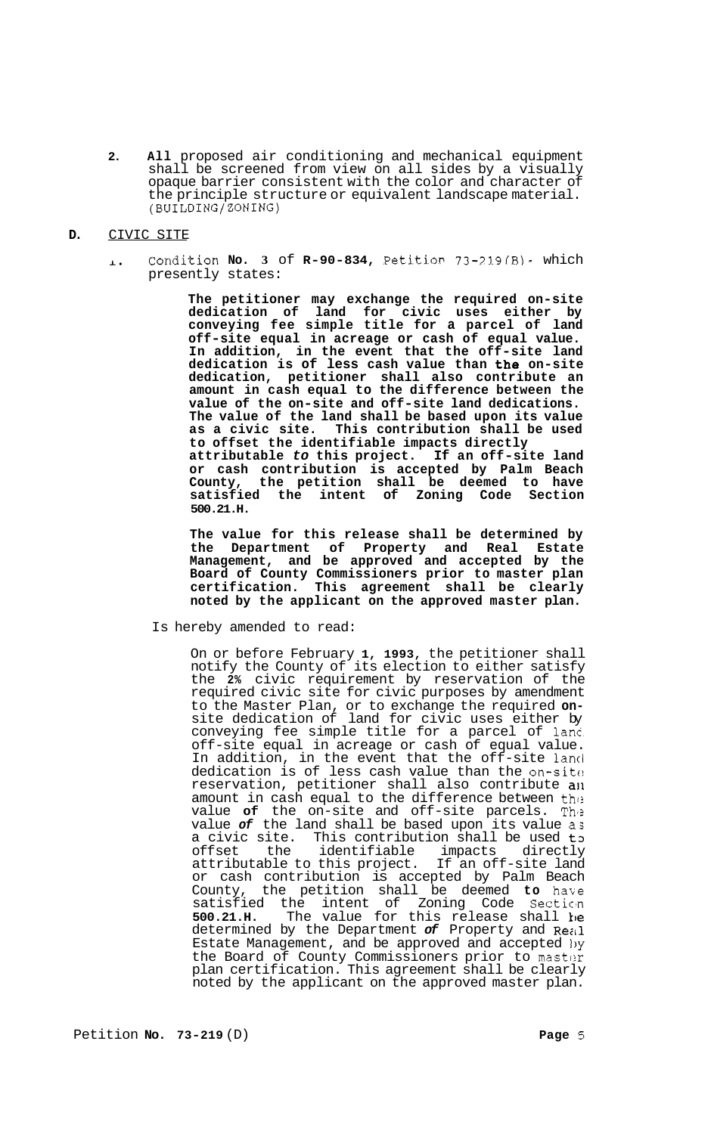**2. All** proposed air conditioning and mechanical equipment shall be screened from view on all sides by a visually opaque barrier consistent with the color and character of the principle structure or equivalent landscape material. (BUILDING/ZONING)

# **D.** CIVIC SITE

Condition **No. 3** of **R-90-834,** Petitior, **73-33.9fB)** which  $\mathbf{L}$ presently states:

> **The petitioner may exchange the required on-site dedication of land for civic uses either by conveying fee simple title for a parcel of land off-site equal in acreage or cash of equal value. In addition, in the event that the off-site land dedication is of less cash value than the on-site dedication, petitioner shall also contribute an amount in cash equal to the difference between the value of the on-site and off-site land dedications. The value of the land shall be based upon its value as a civic site. This contribution shall be used to offset the identifiable impacts directly attributable** *to* **this project. If an off-site land or cash contribution is accepted by Palm Beach County, the petition shall be deemed to have satisfied the intent of Zoning Code Section 500.21.H.**

> **The value for this release shall be determined by the Department of Property and Real Estate Management, and be approved and accepted by the Board of County Commissioners prior to master plan certification. This agreement shall be clearly noted by the applicant on the approved master plan.**

Is hereby amended to read:

On or before February **1, 1993,** the petitioner shall notify the County of its election to either satisfy the **2%** civic requirement by reservation of the required civic site for civic purposes by amendment to the Master Plan, or to exchange the required **on-** site dedication of land for civic uses either by conveying fee simple title for a parcel of lanc. off-site equal in acreage or cash of equal value. In addition, in the event that the off-site land dedication is of less cash value than the on-sit $e_{\pm}$ reservation, petitioner shall also contribute a11 amount in cash equal to the difference between the value **of** the on-site and off-site parcels. Thi? value *of* the land shall be based upon its value as a civic site. This contribution shall be used to<br>offset the identifiable impacts directly offset the identifiable impacts directly<br>attributable to this project. If an off-site land attributable to this project. If an off-site land or cash contribution is accepted by Palm Beach County, the petition shall be deemed **to** haxe satisfied the intent of Zoning Code Section **500.21.H.** The value for this release shall k)e determined by the Department *of* Property and Rezil Estate Management, and be approved and accepted 1)y the Board of County Commissioners prior to master plan certification. This agreement shall be clearly noted by the applicant on the approved master plan.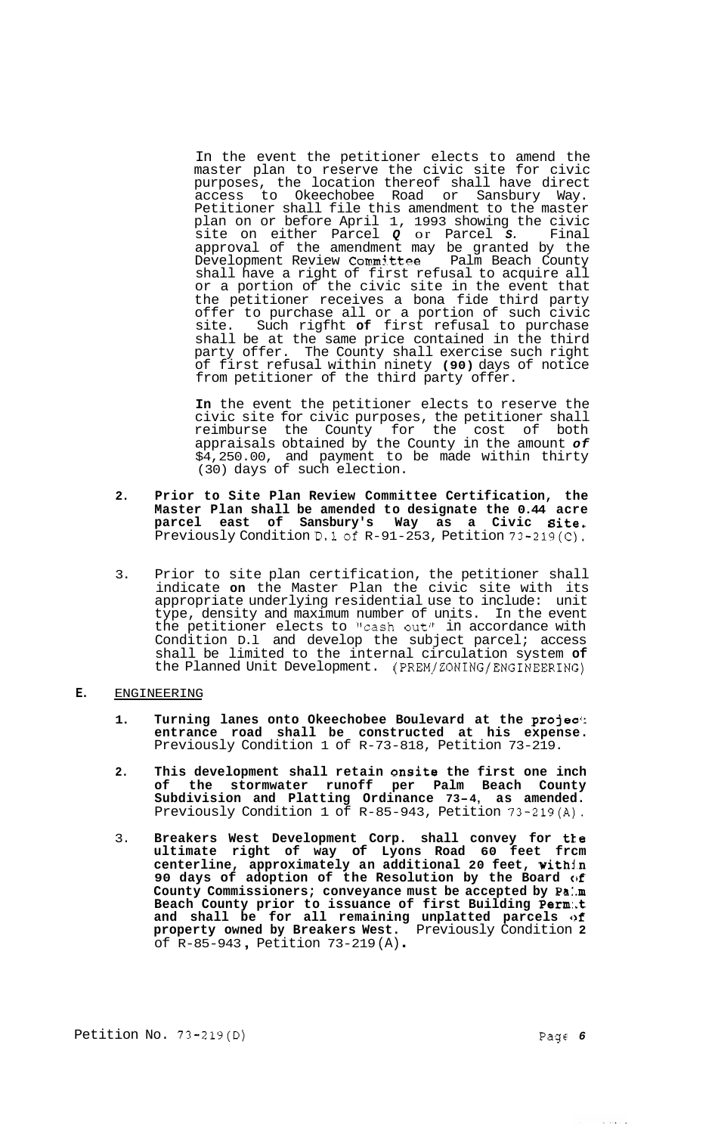In the event the petitioner elects to amend the master plan to reserve the civic site for civic purposes, the location thereof shall have direct access to Okeechobee Road or Sansbury Way. Petitioner shall file this amendment to the master plan on or before April 1, 1993 showing the civic site on either Parcel *Q* or Parcel *S.* Final approval of the amendment may be granted by the Development Review Committee Palm Beach County shall have a right of first refusal to acquire all or a portion of the civic site in the event that the petitioner receives a bona fide third party offer to purchase all or a portion of such civic site. Such rigfht **of** first refusal to purchase shall be at the same price contained in the third party offer. The County shall exercise such right of first refusal within ninety **(90)** days of notice from petitioner of the third party offer.

**In** the event the petitioner elects to reserve the civic site for civic purposes, the petitioner shall reimburse the County for the cost of both appraisals obtained by the County in the amount *of*  \$4,250.00, and payment to be made within thirty (30) days of such election.

- **2. Prior to Site Plan Review Committee Certification, the Master Plan shall be amended to designate the 0.44 acre parcel east of Sansbury's Way as a Civic Bite.**  Previously Condition D.lof R-91-253, Petition 73-219(C).
- 3. Prior to site plan certification, the petitioner shall indicate **on** the Master Plan the civic site with its appropriate underlying residential use to include: unit type, density and maximum number of units. In the event the petitioner elects to "cash out" in accordance with Condition D.l and develop the subject parcel; access shall be limited to the internal circulation system **of**  the Planned Unit Development. **(PREM/ZONING/ENGINEERING)**

**E.** ENGINEERING

- **1. Turning lanes onto Okeechobee Boulevard at the projec'; entrance road shall be constructed at his expense.**  Previously Condition 1 of R-73-818, Petition 73-219.
- **2. This development shall retain onsite the first one inch of the stormwater runoff per Palm Beach County Subdivision and Platting Ordinance 73-4, as amended.**  Previously Condition 1 of R-85-943, Petition 73-219(A).
- 3. **Breakers West Development Corp. shall convey for tLe ultimate right of way of Lyons Road 60 feet frcm centerline, approximately an additional 20 feet, withjm**  90 days of adoption of the Resolution by the Board  $\omega f$ **County Commissioners; conveyance must be accepted by Pa:.m Beach County prior to issuance of first Building Perm:.t**  and shall be for all remaining unplatted parcels of **property owned by Breakers West.** Previously Condition **2**  of R-85-943 , Petition 73-219 (A) .

لوارد وبالرود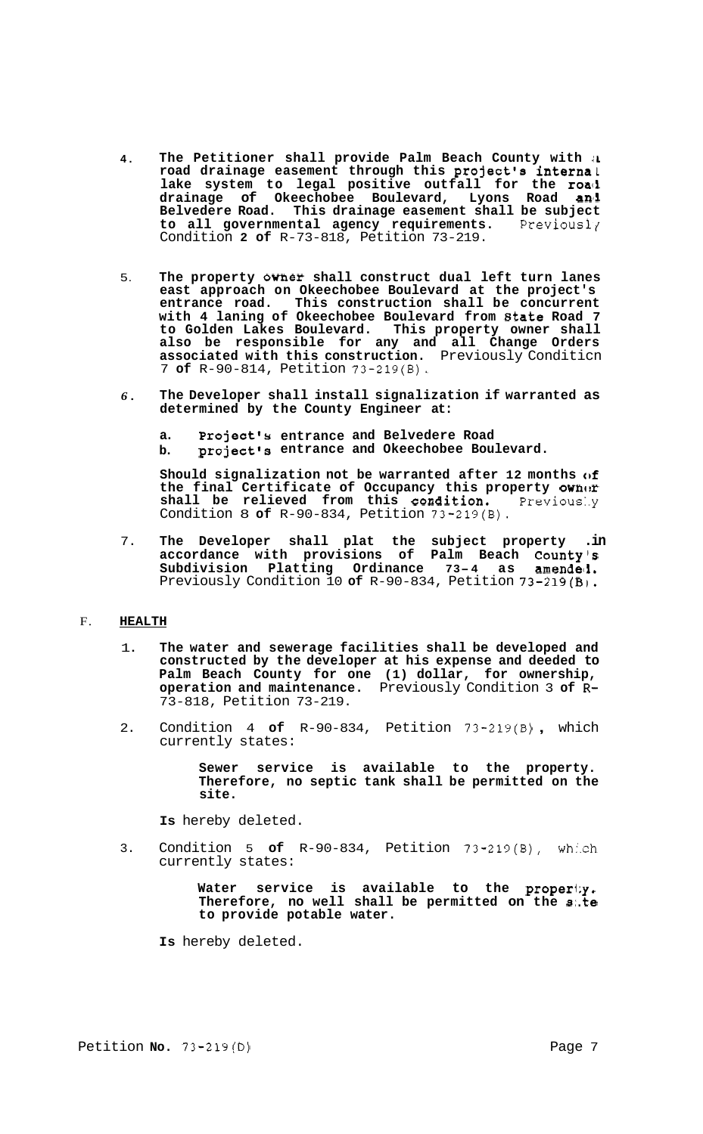- **4. The Petitioner shall provide Palm Beach County with** *iL*  **road drainage easement through this project's internal**  lake system to legal positive outfall for the road **drainage of Okeechobee Boulevard, Lyons Road an11 Belvedere Road. This drainage easement shall be subject to all governmental agency requirements.** Previousl? Condition **2 of** R-73-818, Petition 73-219.
- 5. **The property owner shall construct dual left turn lanes east approach on Okeechobee Boulevard at the project's entrance road. This construction shall be concurrent with 4 laning of Okeechobee Boulevard from 8tate Road 7 to Golden Lakes Boulevard. This property owner shall also be responsible for any and all Change Orders associated with this construction.** Previously Conditicn 7 **of** R-90-814, Petition 73-219(B).
- *6.*  **The Developer shall install signalization if warranted as determined by the County Engineer at:** 
	- **a. Project's entrance and Belvedere Road b. project's entrance and Okeechobee Boulevard.**

**Should signalization not be warranted after 12 months of the final Certificate of Occupancy this property ownor**  shall be relieved from this condition. Condition 8 **of** R-90-834, Petition 73-219(B).

7. **The Developer shall plat the subject property .in accordance with provisions of Palm Beach County's Subdivision Platting Ordinance 73- <sup>4</sup>as amendeli.**  Previously Condition 10 **of** R-90-834, Petition 73-219(B).

## F. **HEALTH**

- 1. **The water and sewerage facilities shall be developed and constructed by the developer at his expense and deeded to Palm Beach County for one (1) dollar, for ownership, operation and maintenance.** Previously Condition 3 **of R-**73-818, Petition 73-219.
- 2. Condition 4 **of** R-90-834, Petition 73-219(B) , which currently states:

**Sewer service is available to the property. Therefore, no septic tank shall be permitted on the site.** 

**Is** hereby deleted.

3. Condition 5 **of** R-90-834, Petition 73-219(B), wh..ch currently states:

> **Water service is available to the properi;y. Therefore, no well shall be permitted on the s:.te to provide potable water.**

**Is** hereby deleted.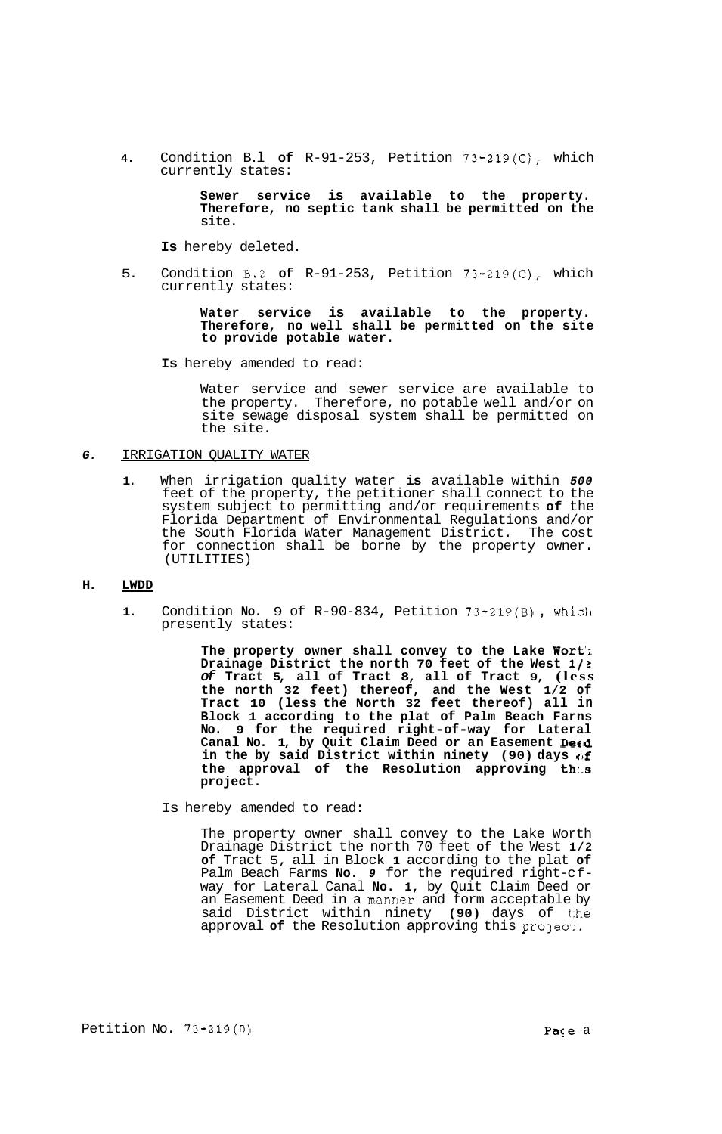**4.** Condition B.l **of** R-91-253, Petition 73-219(C), which currently states:

> **Sewer service is available to the property. Therefore, no septic tank shall be permitted on the site.**

**Is** hereby deleted.

5. Condition **B.2 of** R-91-253, Petition 73-219(C), which currently states:

> **Water service is available to the property. Therefore, no well shall be permitted on the site to provide potable water.**

**Is** hereby amended to read:

Water service and sewer service are available to the property. Therefore, no potable well and/or on site sewage disposal system shall be permitted on the site.

### *G.* IRRIGATION QUALITY WATER

**1.** When irrigation quality water **is** available within *500*  feet of the property, the petitioner shall connect to the system subject to permitting and/or requirements **of** the Florida Department of Environmental Regulations and/or the South Florida Water Management District. The cost for connection shall be borne by the property owner. (UTILITIES)

### **H. LWDD**

**1.** Condition **No.** 9 of R-90-834, Petition 73-219(B) , whicll presently states:

> **The property owner shall convey to the Lake Wort'l Drainage District the north 70 feet of the West** *1/1 of* **Tract 5, all of Tract 8, all of Tract 9, (less the north 32 feet) thereof, and the West 1/2 of Tract 10 (less the North 32 feet thereof) all in Block 1 according to the plat of Palm Beach Farns No. 9 for the required right-of-way for Lateral**  Canal No. 1, by Quit Claim Deed or an Easement Detd **in the by said District within ninety (90) days of the approval of the Resolution approving th:.s project.**

Is hereby amended to read:

The property owner shall convey to the Lake Worth Drainage District the north 70 feet **of** the West **1/2 of** Tract 5, all in Block **1** according to the plat **of**  Palm Beach Farms **No.** *9* for the required right-c fway for Lateral Canal **No. 1,** by Quit Claim Deed or an Easement Deed in a manfier and form acceptable by said District within ninety **(90)** days of 1:he approval of the Resolution approving this project.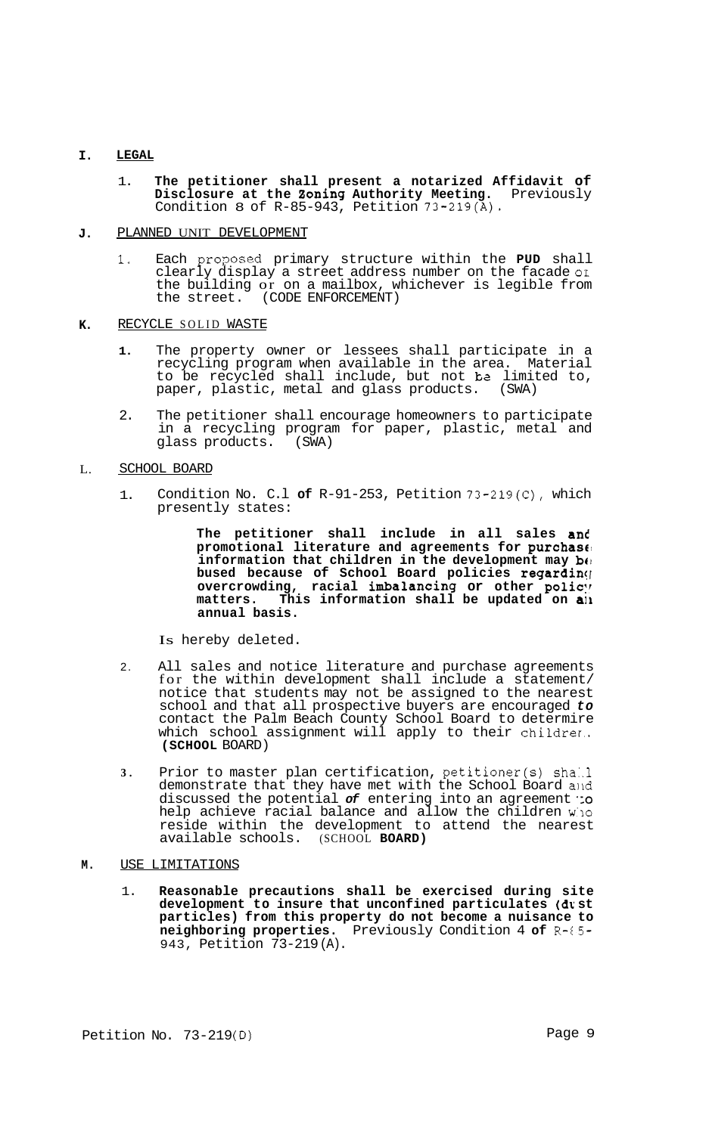#### **I. LEGAL**

1. **The petitioner shall present a notarized Affidavit of Disclosure at the 2oning Authority Meeting.** Previously Condition 8 of R-85-943, Petition 73-219(A).

#### **J.**  PLANNED UNIT DEVELOPMENT

**1.** Each pro2osed primary structure within the **PUD** shall clearly display a street address number on the facade **or**  the building or on a mailbox, whichever is legible from the street. (CODE ENFORCEMENT)

#### **K.**  RECYCLE SOLID WASTE

- **1.** The property owner or lessees shall participate in a recycling program when available in the area. Material to be recycled shall include, but not **be** limited to, paper, plastic, metal and glass products. (SWA)
- 2. The petitioner shall encourage homeowners to participate in a recycling program for paper, plastic, metal and glass products. (SWA)

#### L. SCHOOL BOARD

1. Condition No. C.l **of** R-91-253, Petition 73-219(C), which presently states:

> **The petitioner shall include in all sales and promotional literature and agreements for purchase! information that children in the development may be bused because of School Board policies regardin([**  overcrowding, racial imbalancing or other policy **matters. This information shall be updated on a11 annual basis.**

Is hereby deleted.

- 2. All sales and notice literature and purchase agreements for the within development shall include a statement/ notice that students may not be assigned to the nearest school and that all prospective buyers are encouraged *to*  contact the Palm Beach County School Board to determire which school assignment will apply to their childrer.. **(SCHOOL** BOARD)
- **3.**  Prior to master plan certification, petitioner(s) shall demonstrate that they have met with the School Board alld discussed the potential *of* entering into an agreement *':o*  help achieve racial balance and allow the children **W'IO**  reside within the development to attend the nearest available schools. (SCHOOL **BOARD)**

#### **M.**  USE LIMITATIONS

1. **Reasonable precautions shall be exercised during site development to insure that unconfined particulates** *(Ur.* **st particles) from this property do not become a nuisance to neighboring properties.** Previously Condition 4 **of** R-E5- 943, Petition 73-219 (A).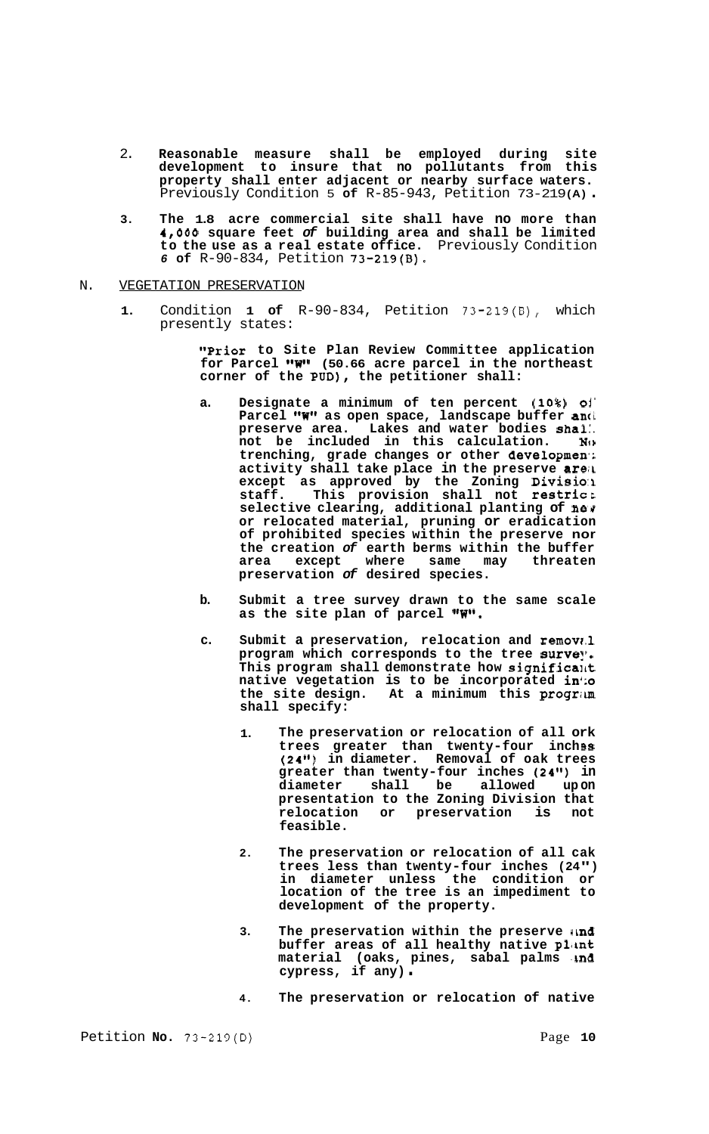- 2. **Reasonable measure shall be employed during site development to insure that no pollutants from this property shall enter adjacent or nearby surface waters.**  Previously Condition 5 **of** R-85-943, Petition 73-219 **(A)** .
- **3. The 1.8 acre commercial site shall have no more than 4,000 square feet** *of* **building area and shall be limited to the use as a real estate office.** Previously Condition *6* **of** R-90-834, Petition 73-219(B),
- N. VEGETATION PRESERVATION
	- **1.** Condition **1 of** R-90-834, Petition 73-219(B), which presently states:

**"Prior to Site Plan Review Committee application**  for Parcel "W" (50.66 acre parcel in the northeast **corner of the POD), the petitioner shall:** 

- **a. Designate a minimum of ten percent (10%) oi' Parcel rrW" as open space, landscape buffer anci preserve area. Lakes and water bodies shal:.**  not be included in this calculation. **trenching, grade changes or other developmen-; activity shall take place in the preserve areir except as approved by the Zoning Division**<br>staff. This provision shall not restrict **staff. This provision shall not restrict selective clearing, additional planting of nes or relocated material, pruning or eradication of prohibited species within the preserve nor the creation** *of* **earth berms within the buffer area except where same may threaten preservation** *of* **desired species.**
- **b. Submit a tree survey drawn to the same scale**  as the site plan of parcel "W".
- **c. Submit a preservation, relocation and removr.1**  program which corresponds to the tree survey. **This program shall demonstrate how significant native vegetation is to be incorporated in';o the site design. At a minimum this progrim shall specify:** 
	- **1. The preservation or relocation of all ork**  trees greater than twenty-four inch<sup>3</sup> **(24") in diameter. Removal of oak trees greater than twenty-four inches (24") in diameter shall be allowed up on presentation to the Zoning Division that relocation or preservation is not feasible.**
	- **2. The preservation or relocation of all cak trees less than twenty-four inches (24") in diameter unless the condition or location of the tree is an impediment to development of the property.**
	- **3. The preservation within the preserve ilnd**  buffer areas of all healthy native plant **material (oaks, pines, sabal palms <b>ind**<br>cypress, if any).
	- **4. The preservation or relocation of native**

Petition **No.** 73-219(D)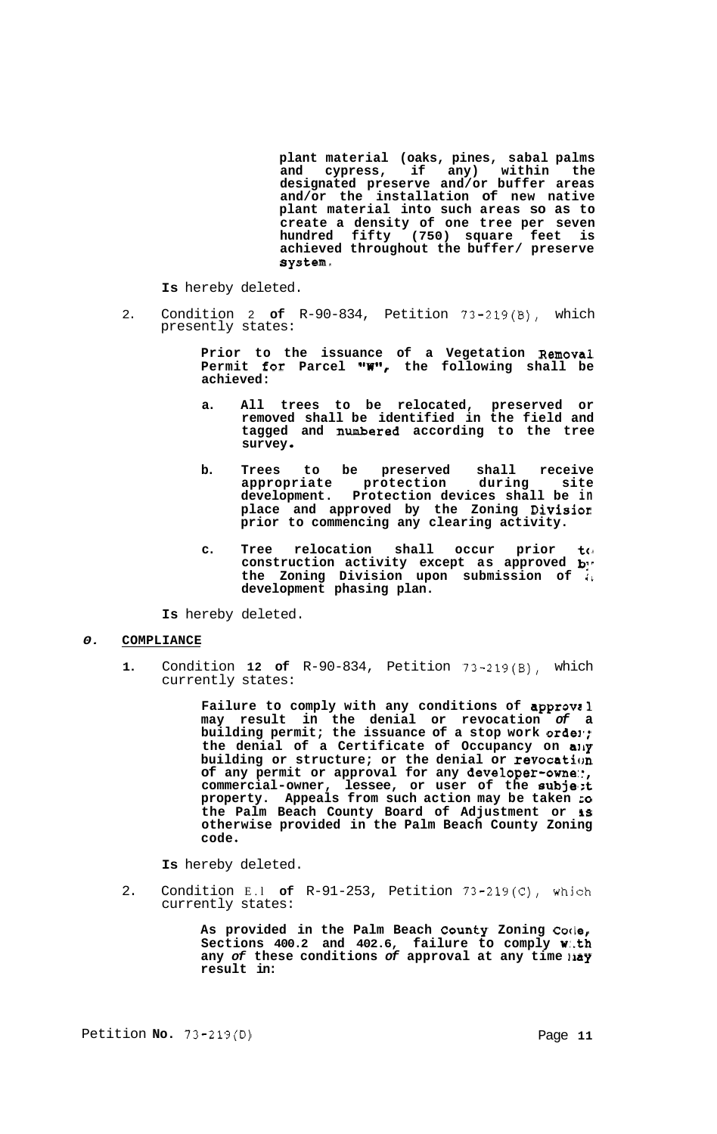**plant material (oaks, pines, sabal palms and cypress, if any) within the designated preserve and/or buffer areas and/or the installation of new native plant material into such areas so as to create a density of one tree per seven hundred fifty (750) square feet is achieved throughout the buffer/ preserve system,** 

**Is** hereby deleted.

2. Condition 2 **of** R-90-834, Petition 73-219(B), which presently states:

> **Prior to the issuance of a Vegetation Removal Permit for Parcel "W\*\*, the following shall be achieved:**

- **a. All trees to be relocated, preserved or removed shall be identified in the field and tagged and numbered according to the tree survey**
- **b. Trees to be preserved shall receive appropriate protection during site development. Protection devices shall be in place and approved by the Zoning Divisior prior to commencing any clearing activity.**
- c. Tree relocation shall occur prior to construction activity except as approved **b the Zoning Division upon submission of** *<sup>11</sup>* **development phasing plan.**

**Is** hereby deleted.

## *0.* **COMPLIANCE**

**1.** Condition **12 of** R-90-834, Petition 73-219(B), which currently states:

> **Failure to comply with any conditions of approvcl may result in the denial or revocation** *of* **a**  building permit; the issuance of a stop work o**rde**!'; **the denial of a Certificate of Occupancy on ally building or structure; or the denial or revocation of any permit or approval for any developer-one::, commercial-owner, lessee, or user of the subje,:t property. Appeals from such action may be taken LO the Palm Beach County Board of Adjustment or 1s otherwise provided in the Palm Beach County Zoning code**

**Is** hereby deleted.

2. Condition E.l **of** R-91-253, Petition 73-219(C), which currently states:

> **As provided in the Palm Beach County Zoning Cotle, Sections 400.2 and 402.6, failure to comply w:.th any of these conditions of approval at any time**  $\boldsymbol{\mathsf{u}}$ **ay result in:**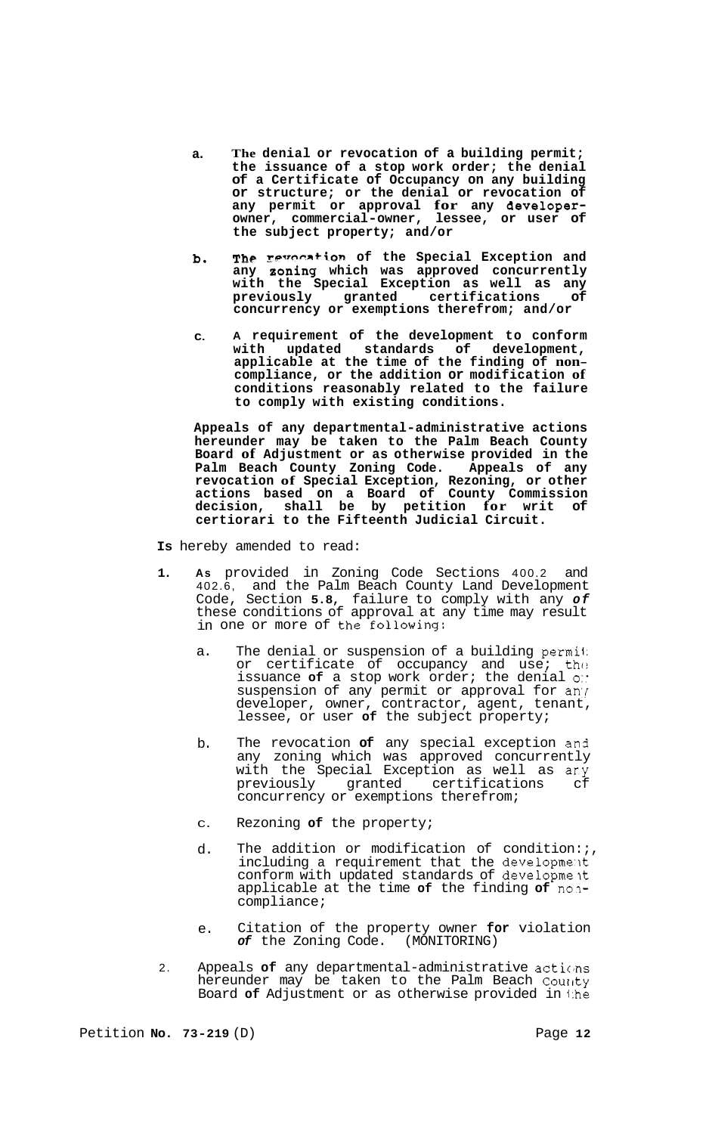- **a. The denial or revocation of a building permit; the issuance of a stop work order; the denial of a Certificate of Occupancy on any building or structure; or the denial or revocation of any permit or approval for any developerowner, commercial-owner, lessee, or user of the subject property; and/or**
- **b. The revocation of the Special Exception and any aoning which was approved concurrently with the Special Exception as well as any previously granted certifications of concurrency or exemptions therefrom; and/or**
- **C. A requirement of the development to conform with updated standards of development, applicable at the time of the finding of non- compliance, or the addition or modification of conditions reasonably related to the failure to comply with existing conditions.**

**Appeals of any departmental-administrative actions hereunder may be taken to the Palm Beach County Board of Adjustment or as otherwise provided in the Palm Beach County Zoning Code. Appeals of any revocation of Special Exception, Rezoning, or other actions based on a Board of County Commission decision, shall be by petition for writ of certiorari to the Fifteenth Judicial Circuit.** 

**Is** hereby amended to read:

- **1. As** provided in Zoning Code Sections 400.2 and 402.6, and the Palm Beach County Land Development Code, Section **5.8,** failure to comply with any *of*  these conditions of approval at any time may result in one or more of the following:
	- a. The denial or suspension of a building permii: or certificate of occupancy and use; the issuance **of** a stop work order; the denial *0::*  suspension of any permit or approval for any developer, owner, contractor, agent, tenant, lessee, or user **of** the subject property;
	- b. The revocation **of** any special exception and any zoning which was approved concurrently with the Special Exception as well as ary previously granted certifications cf concurrency or exemptions therefrom;
	- C. Rezoning **of** the property;
	- d. The addition or modification of condition:  $i$ , including a requirement that the developme'lt conform with updated standards of developmelt applicable at the time **of** the finding **of** nolcompliance;
	- e. Citation of the property owner **for** violation *of* the Zoning Code. (MONITORING)
- 2. Appeals **of** any departmental-administrative actions hereunder may be taken to the Palm Beach County Board **of** Adjustment or as otherwise provided in i:he

Petition **No. 73-219** (D) Page **12**